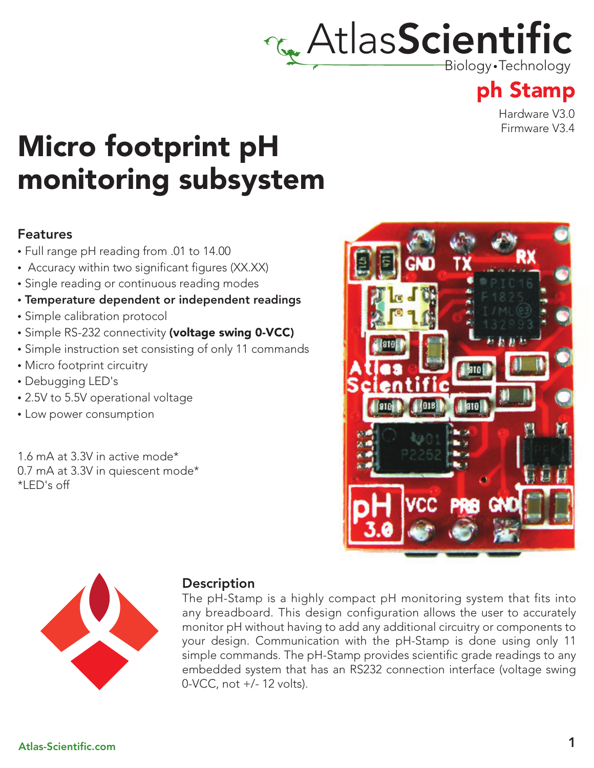# **AtlasScientific**

Biology •Technology

### ph Stamp

Hardware V3.0 Firmware V3.4

## Micro footprint pH monitoring subsystem

#### Features

- Full range pH reading from .01 to 14.00
- Accuracy within two significant figures (XX.XX)
- Single reading or continuous reading modes
- Temperature dependent or independent readings
- Simple calibration protocol
- Simple RS-232 connectivity (voltage swing 0-VCC)
- Simple instruction set consisting of only 11 commands
- Micro footprint circuitry
- Debugging LED's
- 2.5V to 5.5V operational voltage
- Low power consumption

1.6 mA at 3.3V in active mode\* 0.7 mA at 3.3V in quiescent mode\* \*LED's off





#### **Description**

The pH-Stamp is a highly compact pH monitoring system that fits into any breadboard. This design configuration allows the user to accurately monitor pH without having to add any additional circuitry or components to your design. Communication with the pH-Stamp is done using only 11 simple commands. The pH-Stamp provides scientific grade readings to any embedded system that has an RS232 connection interface (voltage swing 0-VCC, not +/- 12 volts).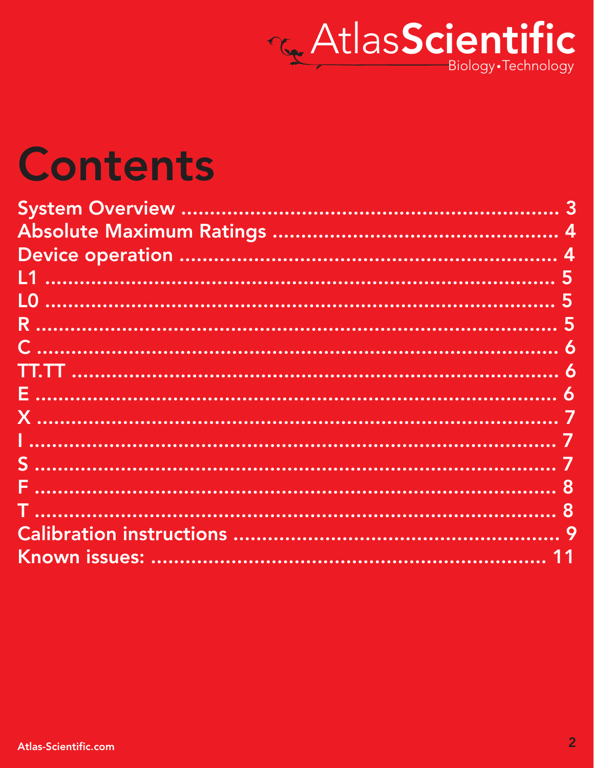

## **Contents**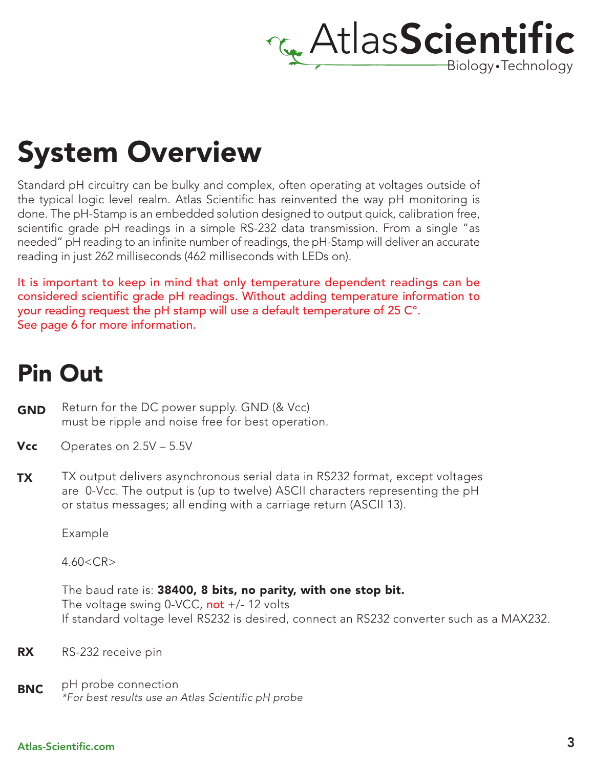

## System Overview

Standard pH circuitry can be bulky and complex, often operating at voltages outside of the typical logic level realm. Atlas Scientific has reinvented the way pH monitoring is done. The pH-Stamp is an embedded solution designed to output quick, calibration free, scientific grade pH readings in a simple RS-232 data transmission. From a single "as needed" pH reading to an infinite number of readings, the pH-Stamp will deliver an accurate reading in just 262 milliseconds (462 milliseconds with LEDs on).

It is important to keep in mind that only temperature dependent readings can be considered scientific grade pH readings. Without adding temperature information to your reading request the pH stamp will use a default temperature of 25 C°. See page 6 for more information.

### Pin Out

- Return for the DC power supply. GND (& Vcc) must be ripple and noise free for best operation. GND
- **Vcc** Operates on  $2.5V 5.5V$
- TX output delivers asynchronous serial data in RS232 format, except voltages are 0-Vcc. The output is (up to twelve) ASCII characters representing the pH or status messages; all ending with a carriage return (ASCII 13). TX

Example

 $4.60 < C$ R $>$ 

The baud rate is: 38400, 8 bits, no parity, with one stop bit. The voltage swing 0-VCC, not +/- 12 volts If standard voltage level RS232 is desired, connect an RS232 converter such as a MAX232.

- RX RS-232 receive pin
- **BNC** pH probe connection *\*For best results use an Atlas Scientific pH probe*

#### Atlas-Scientific.com 3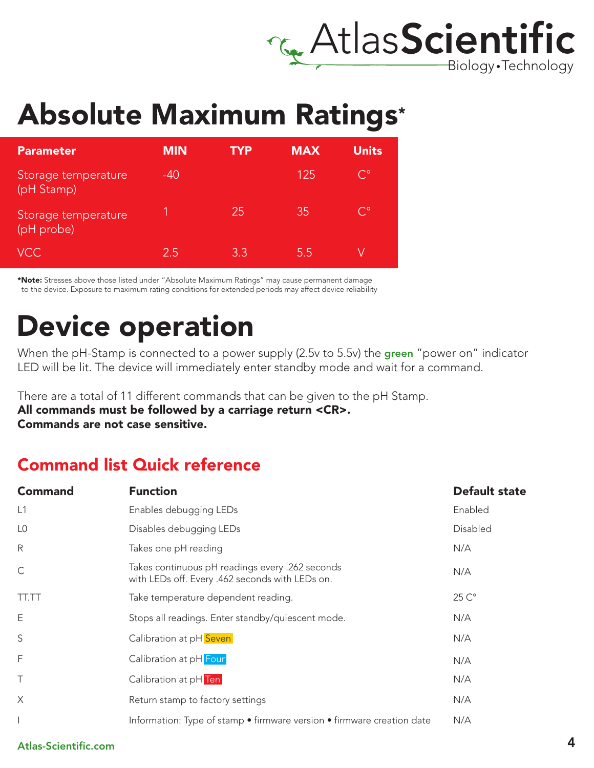

## Absolute Maximum Ratings\*

| <b>Parameter</b>                  | <b>MIN</b> | TYP | <b>MAX</b> | <b>Units</b> |
|-----------------------------------|------------|-----|------------|--------------|
| Storage temperature<br>(pH Stamp) | $-40$      |     | 125        | $C^{\circ}$  |
| Storage temperature<br>(pH probe) |            | 251 | 35         | $C^{\circ}$  |
| <b>VCC</b>                        | 2.5        | 3.3 | 5.5        |              |

\*Note: Stresses above those listed under "Absolute Maximum Ratings" may cause permanent damage to the device. Exposure to maximum rating conditions for extended periods may affect device reliability

## Device operation

When the pH-Stamp is connected to a power supply (2.5v to 5.5v) the green "power on" indicator LED will be lit. The device will immediately enter standby mode and wait for a command.

There are a total of 11 different commands that can be given to the pH Stamp.

All commands must be followed by a carriage return <CR>. Commands are not case sensitive.

### Command list Quick reference

| <b>Command</b> | <b>Function</b>                                                                                    | <b>Default state</b> |
|----------------|----------------------------------------------------------------------------------------------------|----------------------|
| L1             | Enables debugging LEDs                                                                             | Enabled              |
| L <sub>0</sub> | Disables debugging LEDs                                                                            | Disabled             |
| $\mathsf{R}$   | Takes one pH reading                                                                               | N/A                  |
| $\mathsf C$    | Takes continuous pH readings every .262 seconds<br>with LEDs off. Every .462 seconds with LEDs on. | N/A                  |
| <b>TT.TT</b>   | Take temperature dependent reading.                                                                | $25C^{\circ}$        |
| E              | Stops all readings. Enter standby/quiescent mode.                                                  | N/A                  |
| S              | Calibration at pH Seven                                                                            | N/A                  |
| F              | Calibration at pH Four                                                                             | N/A                  |
| $\top$         | Calibration at pH Ten                                                                              | N/A                  |
| $\times$       | Return stamp to factory settings                                                                   | N/A                  |
|                | Information: Type of stamp • firmware version • firmware creation date                             | N/A                  |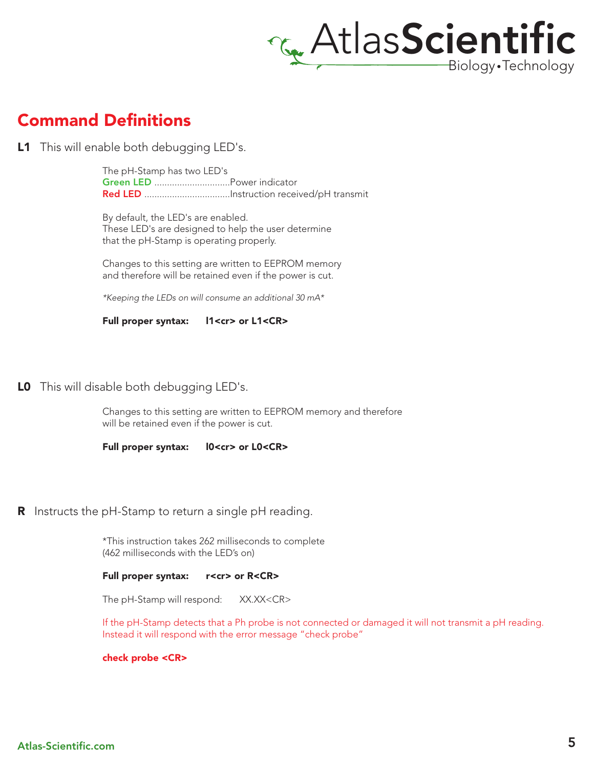

### Command Definitions

**L1** This will enable both debugging LED's.

The pH-Stamp has two LED's Green LED ..............................Power indicator Red LED ..................................Instruction received/pH transmit

By default, the LED's are enabled. These LED's are designed to help the user determine that the pH-Stamp is operating properly.

Changes to this setting are written to EEPROM memory and therefore will be retained even if the power is cut.

*\*Keeping the LEDs on will consume an additional 30 mA\**

Full proper syntax: l1<cr> or L1<CR>

#### LO This will disable both debugging LED's.

Changes to this setting are written to EEPROM memory and therefore will be retained even if the power is cut.

Full proper syntax:  $10 < c$ r> or L0<CR>

**R** Instructs the pH-Stamp to return a single pH reading.

\*This instruction takes 262 milliseconds to complete (462 milliseconds with the LED's on)

#### Full proper syntax: r<cr> or R<CR>

The pH-Stamp will respond: XX.XX<CR>

If the pH-Stamp detects that a Ph probe is not connected or damaged it will not transmit a pH reading. Instead it will respond with the error message "check probe"

check probe <CR>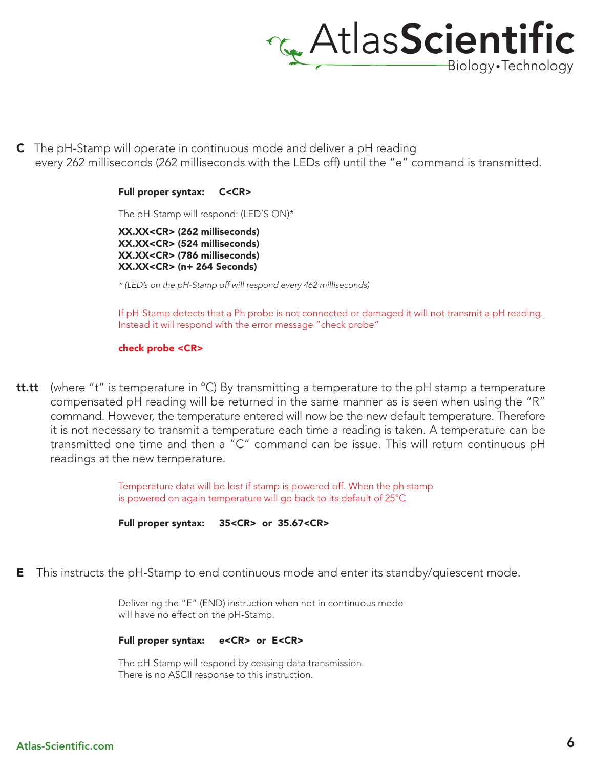

C The pH-Stamp will operate in continuous mode and deliver a pH reading every 262 milliseconds (262 milliseconds with the LEDs off) until the "e" command is transmitted.

#### Full proper syntax: C<CR>

The pH-Stamp will respond: (LED'S ON)\*

XX.XX<CR> (262 milliseconds) XX.XX<CR> (524 milliseconds) XX.XX<CR> (786 milliseconds) XX.XX<CR> (n+ 264 Seconds)

*\* (LED's on the pH-Stamp off will respond every 462 milliseconds)*

If pH-Stamp detects that a Ph probe is not connected or damaged it will not transmit a pH reading. Instead it will respond with the error message "check probe"

#### check probe <CR>

**tt.tt** (where "t" is temperature in  $^{\circ}$ C) By transmitting a temperature to the pH stamp a temperature compensated pH reading will be returned in the same manner as is seen when using the "R" command. However, the temperature entered will now be the new default temperature. Therefore it is not necessary to transmit a temperature each time a reading is taken. A temperature can be transmitted one time and then a "C" command can be issue. This will return continuous pH readings at the new temperature.

> Temperature data will be lost if stamp is powered off. When the ph stamp is powered on again temperature will go back to its default of 25°C



**E** This instructs the pH-Stamp to end continuous mode and enter its standby/quiescent mode.

Delivering the "E" (END) instruction when not in continuous mode will have no effect on the pH-Stamp.

#### Full proper syntax: e<CR> or E<CR>

The pH-Stamp will respond by ceasing data transmission. There is no ASCII response to this instruction.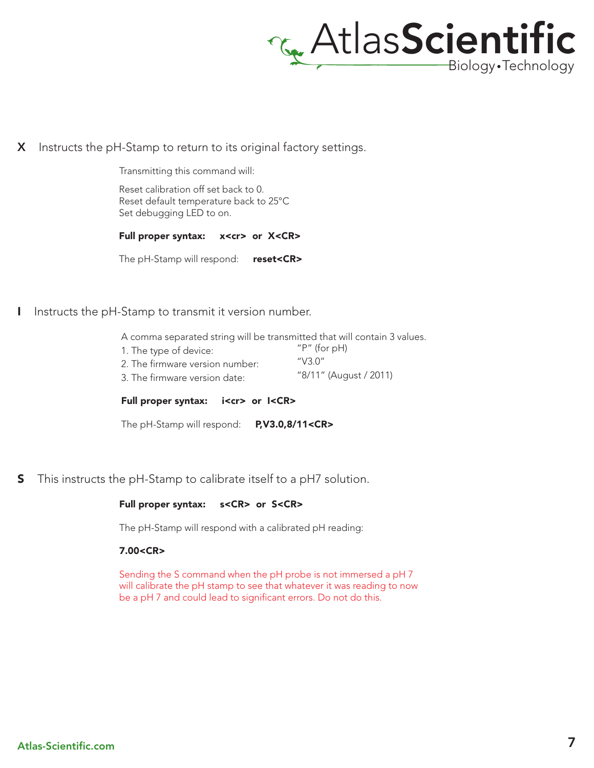

X Instructs the pH-Stamp to return to its original factory settings.

Transmitting this command will:

Reset calibration off set back to 0. Reset default temperature back to 25°C Set debugging LED to on.

Full proper syntax: x<cr> or X<CR>

The pH-Stamp will respond: reset<CR>

I Instructs the pH-Stamp to transmit it version number.

A comma separated string will be transmitted that will contain 3 values.

1. The type of device: 2. The firmware version number: 3. The firmware version date: "P" (for pH) "V3.0" "8/11" (August / 2011)

Full proper syntax: i<cr> or I<CR>

The pH-Stamp will respond: P,V3.0,8/11<CR>

**S** This instructs the pH-Stamp to calibrate itself to a pH7 solution.

#### Full proper syntax: s<CR> or S<CR>

The pH-Stamp will respond with a calibrated pH reading:

#### 7.00<CR>

Sending the S command when the pH probe is not immersed a pH 7 will calibrate the pH stamp to see that whatever it was reading to now be a pH 7 and could lead to significant errors. Do not do this.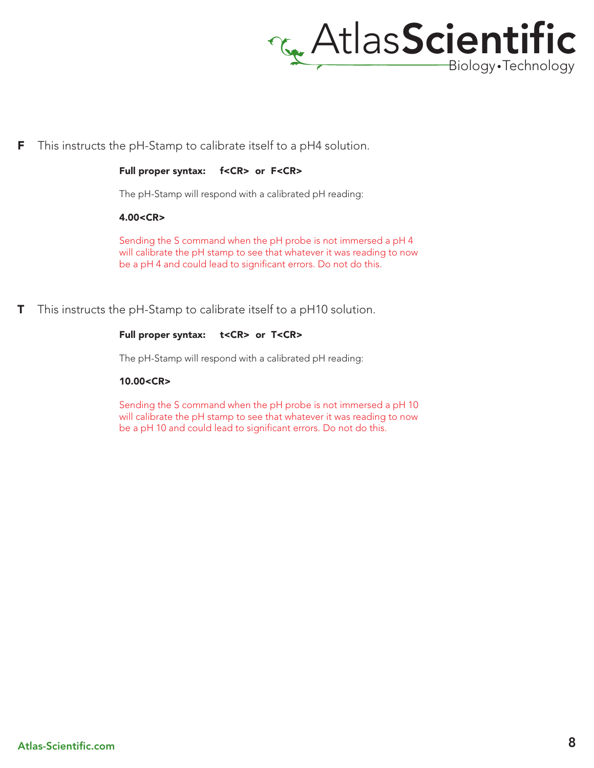

**F** This instructs the pH-Stamp to calibrate itself to a pH4 solution.

Full proper syntax: f<CR> or F<CR>

The pH-Stamp will respond with a calibrated pH reading:

4.00<CR>

Sending the S command when the pH probe is not immersed a pH 4 will calibrate the pH stamp to see that whatever it was reading to now be a pH 4 and could lead to significant errors. Do not do this.

**T** This instructs the pH-Stamp to calibrate itself to a pH10 solution.

#### Full proper syntax: t<CR> or T<CR>

The pH-Stamp will respond with a calibrated pH reading:

#### 10.00<CR>

Sending the S command when the pH probe is not immersed a pH 10 will calibrate the pH stamp to see that whatever it was reading to now be a pH 10 and could lead to significant errors. Do not do this.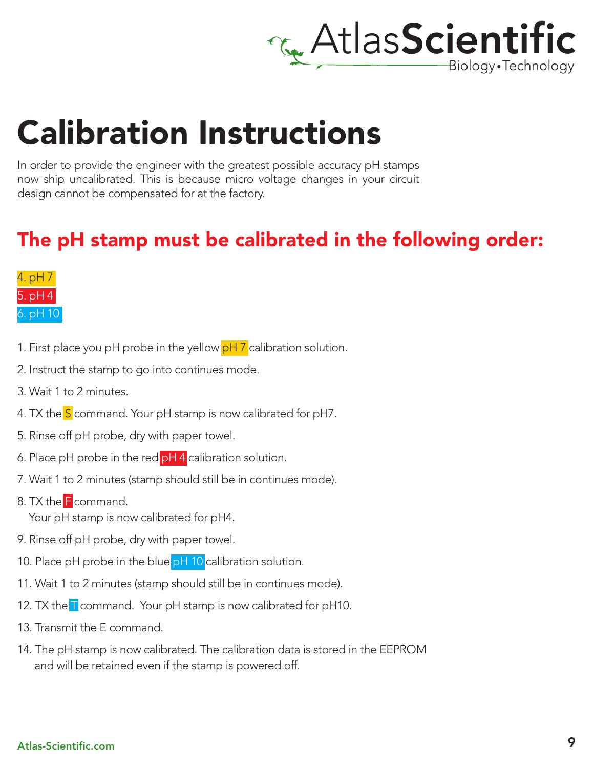

## Calibration Instructions

In order to provide the engineer with the greatest possible accuracy pH stamps now ship uncalibrated. This is because micro voltage changes in your circuit design cannot be compensated for at the factory.

### The pH stamp must be calibrated in the following order:



- 1. First place you pH probe in the yellow  $pH\,Z$  calibration solution.
- 2. Instruct the stamp to go into continues mode.
- 3. Wait 1 to 2 minutes.
- 4. TX the S command. Your pH stamp is now calibrated for pH7.
- 5. Rinse off pH probe, dry with paper towel.
- 6. Place pH probe in the red  $pH 4$  calibration solution.
- 7. Wait 1 to 2 minutes (stamp should still be in continues mode).
- 8. TX the F command. Your pH stamp is now calibrated for pH4.
- 9. Rinse off pH probe, dry with paper towel.
- 10. Place pH probe in the blue pH 10 calibration solution.
- 11. Wait 1 to 2 minutes (stamp should still be in continues mode).
- 12. TX the T command. Your pH stamp is now calibrated for pH10.
- 13. Transmit the E command.
- 14. The pH stamp is now calibrated. The calibration data is stored in the EEPROM and will be retained even if the stamp is powered off.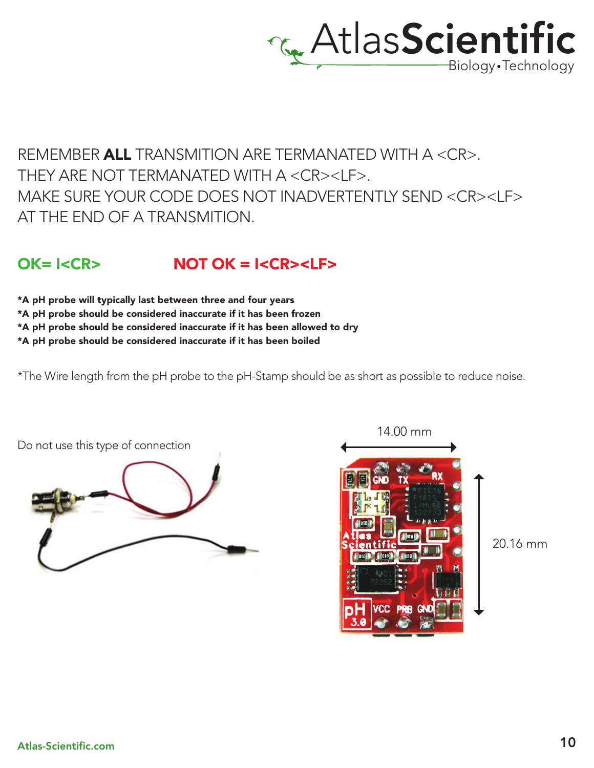

### REMEMBER ALL TRANSMITION ARE TERMANATED WITH A <CR>. THEY ARE NOT TERMANATED WITH A <CR><LF>. MAKE SURE YOUR CODE DOES NOT INADVERTENTLY SEND <CR><LF> AT THE END OF A TRANSMITION.

### $OK = I < CR$ >  $NOT OK = I < CR > I$

\*A pH probe will typically last between three and four years

\*A pH probe should be considered inaccurate if it has been frozen

\*A pH probe should be considered inaccurate if it has been allowed to dry

\*A pH probe should be considered inaccurate if it has been boiled

\*The Wire length from the pH probe to the pH-Stamp should be as short as possible to reduce noise.





20.16 mm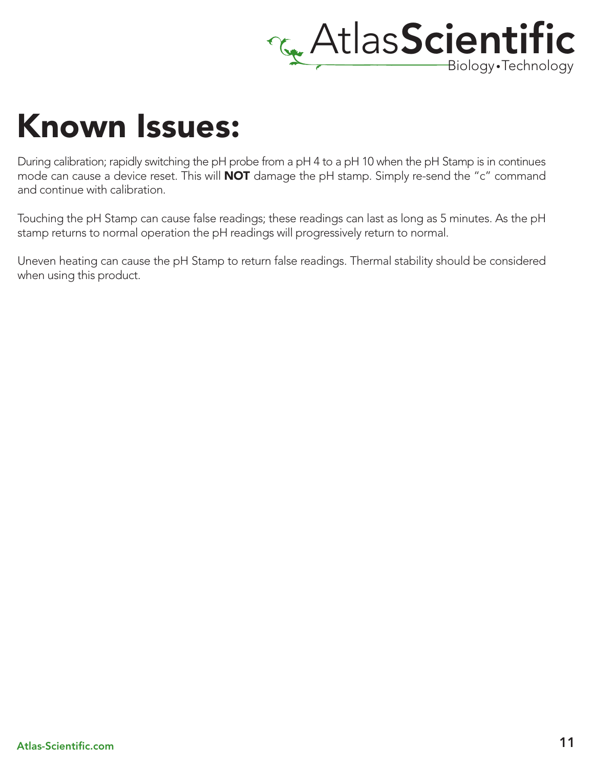

## Known Issues:

During calibration; rapidly switching the pH probe from a pH 4 to a pH 10 when the pH Stamp is in continues mode can cause a device reset. This will **NOT** damage the pH stamp. Simply re-send the "c" command and continue with calibration.

Touching the pH Stamp can cause false readings; these readings can last as long as 5 minutes. As the pH stamp returns to normal operation the pH readings will progressively return to normal.

Uneven heating can cause the pH Stamp to return false readings. Thermal stability should be considered when using this product.